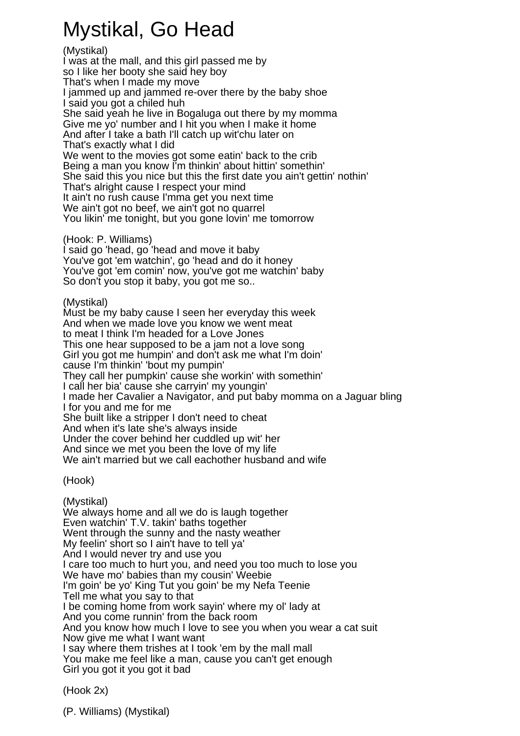## Mystikal, Go Head

(Mystikal) I was at the mall, and this girl passed me by so I like her booty she said hey boy That's when I made my move I jammed up and jammed re-over there by the baby shoe I said you got a chiled huh She said yeah he live in Bogaluga out there by my momma Give me yo' number and I hit you when I make it home And after I take a bath I'll catch up wit'chu later on That's exactly what I did We went to the movies got some eatin' back to the crib Being a man you know I'm thinkin' about hittin' somethin' She said this you nice but this the first date you ain't gettin' nothin' That's alright cause I respect your mind It ain't no rush cause I'mma get you next time We ain't got no beef, we ain't got no quarrel You likin' me tonight, but you gone lovin' me tomorrow

(Hook: P. Williams)

I said go 'head, go 'head and move it baby You've got 'em watchin', go 'head and do it honey You've got 'em comin' now, you've got me watchin' baby So don't you stop it baby, you got me so..

(Mystikal)

Must be my baby cause I seen her everyday this week And when we made love you know we went meat to meat I think I'm headed for a Love Jones This one hear supposed to be a jam not a love song Girl you got me humpin' and don't ask me what I'm doin' cause I'm thinkin' 'bout my pumpin' They call her pumpkin' cause she workin' with somethin' I call her bia' cause she carryin' my youngin' I made her Cavalier a Navigator, and put baby momma on a Jaguar bling I for you and me for me She built like a stripper I don't need to cheat And when it's late she's always inside Under the cover behind her cuddled up wit' her And since we met you been the love of my life We ain't married but we call eachother husband and wife

(Hook)

(Mystikal) We always home and all we do is laugh together Even watchin' T.V. takin' baths together Went through the sunny and the nasty weather My feelin' short so I ain't have to tell ya' And I would never try and use you I care too much to hurt you, and need you too much to lose you We have mo' babies than my cousin' Weebie I'm goin' be yo' King Tut you goin' be my Nefa Teenie Tell me what you say to that I be coming home from work sayin' where my ol' lady at And you come runnin' from the back room And you know how much I love to see you when you wear a cat suit Now give me what I want want I say where them trishes at I took 'em by the mall mall You make me feel like a man, cause you can't get enough Girl you got it you got it bad

(Hook 2x)

(P. Williams) (Mystikal)